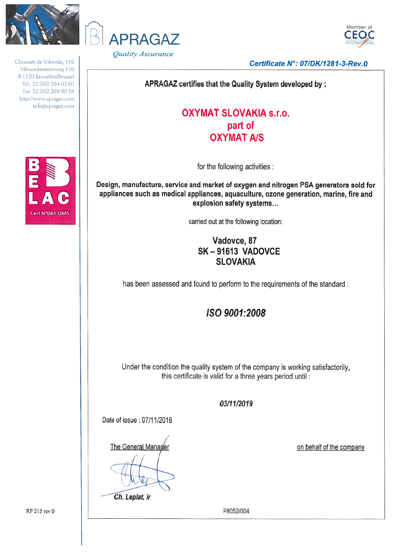

Chaussée de Vilvorde, 156 Vilvoordsesteenweg 156 B-1120 Bruxelles/Brussel Tel.: 32 (0)2 264 03 60 Fax: 32 (0)2 268 89 58 http://www.apragaz.com info@apragaz.com







Certificate N°: 07/DK/1281-3-Rev.0

APRAGAZ certifies that the Quality System developed by:

## **OXYMAT SLOVAKIA s.r.o.** part of **OXYMAT A/S**

for the following activities :

Design, manufacture, service and market of oxygen and nitrogen PSA generators sold for appliances such as medical appliances, aquaculture, ozone generation, marine, fire and explosion safety systems...

carried out at the following location:

## Vadovce, 87 **SK-91613 VADOVCE SLOVAKIA**

has been assessed and found to perform to the requirements of the standard:

# ISO 9001:2008

Under the condition the quality system of the company is working satisfactorily. this certificate is valid for a three years period until :

### 03/11/2019

Date of issue: 07/11/2016

The General Manager

Ch. Leplat, ir

on behalf of the company

P8052/004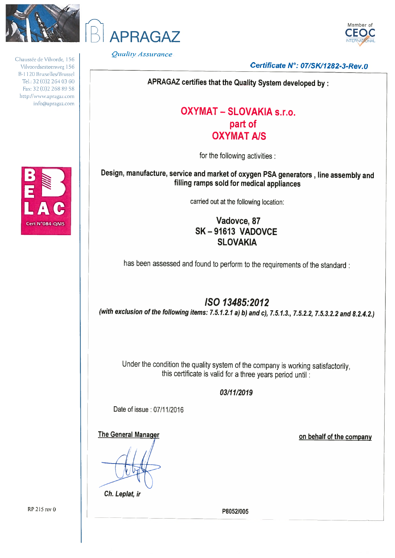

Chaussée de Vilvorde, 156 Vilvoordsesteenweg 156 B-1120 Bruxelles/Brussel Tel.: 32 (0)2 264 03 60 Fax: 32 (0)2 268 89 58 http://www.apragaz.com info@apragaz.com



Quality Assurance

**APRAGAZ** 



Certificate N°: 07/SK/1282-3-Rev.0

APRAGAZ certifies that the Quality System developed by :

## **OXYMAT - SLOVAKIA s.r.o.** part of **OXYMAT A/S**

for the following activities :

Design, manufacture, service and market of oxygen PSA generators, line assembly and filling ramps sold for medical appliances

carried out at the following location:

Vadovce, 87 SK-91613 VADOVCE **SLOVAKIA** 

has been assessed and found to perform to the requirements of the standard :

## ISO 13485:2012

(with exclusion of the following items: 7.5.1.2.1 a) b) and c), 7.5.1.3., 7.5.2.2, 7.5.3.2.2 and 8.2.4.2.)

Under the condition the quality system of the company is working satisfactorily, this certificate is valid for a three years period until :

#### 03/11/2019

Date of issue: 07/11/2016

**The General Manager** 

Ch. Leplat, ir

on behalf of the company

P8052/005

RP 215 rev 0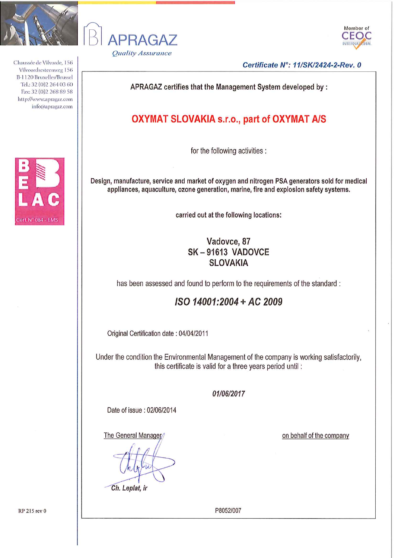

Chaussée de Vilvorde, 156 Vilvoordsesteenweg 156 B-1120 Bruxelles/Brussel Tel.: 32 (0) 2 264 03 60 Fax: 32 (0) 2 268 89 58 http://www.apragaz.com info@apragaz.com







Certificate N°: 11/SK/2424-2-Rev. 0

APRAGAZ certifies that the Management System developed by :

## **OXYMAT SLOVAKIA s.r.o., part of OXYMAT A/S**

for the following activities :

Design, manufacture, service and market of oxygen and nitrogen PSA generators sold for medical appliances, aquaculture, ozone generation, marine, fire and explosion safety systems.

carried out at the following locations:

## Vadovce, 87 **SK-91613 VADOVCE SLOVAKIA**

has been assessed and found to perform to the requirements of the standard :

## ISO 14001:2004 + AC 2009

Original Certification date: 04/04/2011

Under the condition the Environmental Management of the company is working satisfactorily, this certificate is valid for a three years period until:

#### 01/06/2017

Date of issue: 02/06/2014

The General Manager

on behalf of the company

P8052/007

Ch. Leplat, ir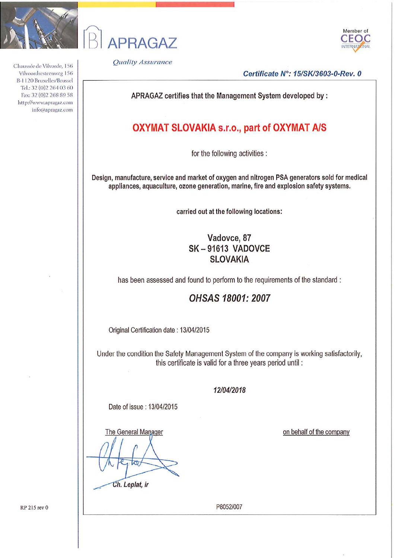

Chaussée de Vilvorde, 156 Vilvoordsesteenweg 156 B-1120 Bruxelles/Brussel Tel.: 32 (0) 2 264 03 60 Fax: 32 (0) 2 268 89 58 http://www.apragaz.com info@apragaz.com





**Quality Assurance** 

Certificate N°: 15/SK/3603-0-Rev. 0

APRAGAZ certifies that the Management System developed by :

## **OXYMAT SLOVAKIA s.r.o., part of OXYMAT A/S**

for the following activities :

Design, manufacture, service and market of oxygen and nitrogen PSA generators sold for medical appliances, aquaculture, ozone generation, marine, fire and explosion safety systems.

carried out at the following locations:

## Vadovce, 87 SK-91613 VADOVCE **SLOVAKIA**

has been assessed and found to perform to the requirements of the standard:

### **OHSAS 18001: 2007**

Original Certification date: 13/04/2015

Under the condition the Safety Management System of the company is working satisfactorily, this certificate is valid for a three years period until :

12/04/2018

Date of issue: 13/04/2015

The General Manager

Ch. Leplat, ir

on behalf of the company

RP 215 rev 0

P8052/007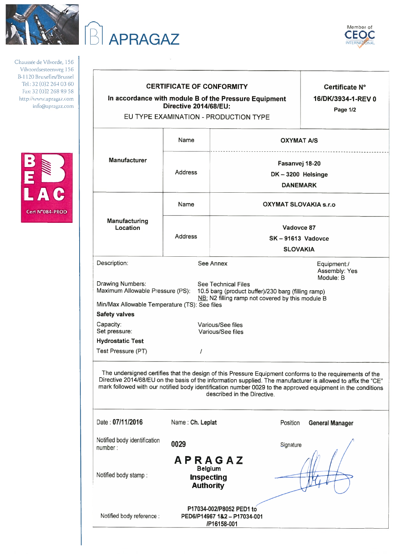

Chaussée de Vilvorde, 156 Vilvoordsesteenweg 156 B-1120 Bruxelles/Brussel Tel.: 32 (0)2 264 03 60 Fax: 32 (0) 2 268 89 58 http://www.apragaz.com info@apragaz.com



| <b>APRAGAZ</b>                                                                                                                |                                                                           |                                                                                                                                                                                                                                                                                                                                                                        | Member of<br>CEO                      |  |
|-------------------------------------------------------------------------------------------------------------------------------|---------------------------------------------------------------------------|------------------------------------------------------------------------------------------------------------------------------------------------------------------------------------------------------------------------------------------------------------------------------------------------------------------------------------------------------------------------|---------------------------------------|--|
| <b>CERTIFICATE OF CONFORMITY</b><br>In accordance with module B of the Pressure Equipment<br>Directive 2014/68/EU:            |                                                                           | Certificate N°<br>16/DK/3934-1-REV 0                                                                                                                                                                                                                                                                                                                                   |                                       |  |
|                                                                                                                               |                                                                           | EU TYPE EXAMINATION - PRODUCTION TYPE                                                                                                                                                                                                                                                                                                                                  | Page 1/2                              |  |
|                                                                                                                               | Name                                                                      |                                                                                                                                                                                                                                                                                                                                                                        | <b>OXYMAT A/S</b>                     |  |
| <b>Manufacturer</b>                                                                                                           | <b>Address</b>                                                            | Fasanvej 18-20<br>DK-3200 Helsinge<br><b>DANEMARK</b>                                                                                                                                                                                                                                                                                                                  |                                       |  |
|                                                                                                                               | Name                                                                      | <b>OXYMAT SLOVAKIA s.r.o</b>                                                                                                                                                                                                                                                                                                                                           |                                       |  |
| Manufacturing<br>Location                                                                                                     | <b>Address</b>                                                            |                                                                                                                                                                                                                                                                                                                                                                        | Vadovce 87<br><b>SK-91613 Vadovce</b> |  |
| Description:                                                                                                                  |                                                                           | <b>SLOVAKIA</b><br>See Annex                                                                                                                                                                                                                                                                                                                                           | Equipment:/<br>Assembly: Yes          |  |
| Drawing Numbers:<br>Maximum Allowable Pressure (PS):<br>Min/Max Allowable Temperature (TS): See files<br><b>Safety valves</b> |                                                                           | <b>See Technical Files</b><br>10.5 barg (product buffer)/230 barg (filling ramp)<br>NB: N2 filling ramp not covered by this module B                                                                                                                                                                                                                                   | Module: B                             |  |
| Capacity:<br>Set pressure:                                                                                                    |                                                                           | Various/See files<br>Various/See files                                                                                                                                                                                                                                                                                                                                 |                                       |  |
| <b>Hydrostatic Test</b>                                                                                                       |                                                                           |                                                                                                                                                                                                                                                                                                                                                                        |                                       |  |
| Test Pressure (PT)                                                                                                            | $\prime$                                                                  |                                                                                                                                                                                                                                                                                                                                                                        |                                       |  |
|                                                                                                                               |                                                                           | The undersigned certifies that the design of this Pressure Equipment conforms to the requirements of the<br>Directive 2014/68/EU on the basis of the information supplied. The manufacturer is allowed to affix the "CE"<br>mark followed with our notified body identification number 0029 to the approved equipment in the conditions<br>described in the Directive. |                                       |  |
| Date: 07/11/2016                                                                                                              | Name: Ch. Leplat                                                          | Position                                                                                                                                                                                                                                                                                                                                                               | <b>General Manager</b>                |  |
| Notified body identification<br>number:                                                                                       | 0029                                                                      | Signature                                                                                                                                                                                                                                                                                                                                                              |                                       |  |
| Notified body stamp:                                                                                                          | <b>APRAGAZ</b><br><b>Belgium</b><br><b>Inspecting</b><br><b>Authority</b> |                                                                                                                                                                                                                                                                                                                                                                        |                                       |  |

. . . . . . . . . . .

P17034-002/P8052 PED1 to Notified body reference : PED6/P14967 1&2 - P17034-001 /P16158-001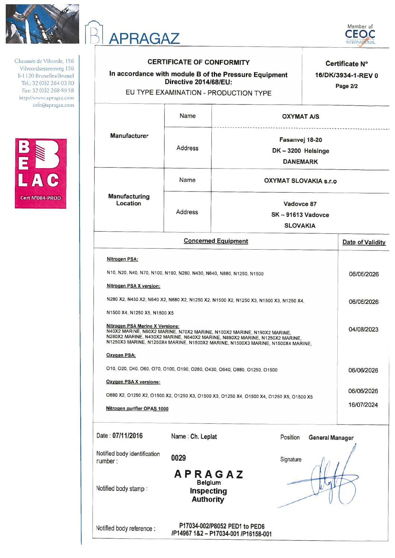

APRAGAZ

Chaussée de Vilvorde, 156 Vilvoordsesteenweg 156 B-1120 Bruxelles/Brussel Tel.: 32 (0)2 264 03 60 Fax: 32 (0)2 268 89 58 http://www.apragaz.com info@apragaz.com



|                                                                                       | <b>CERTIFICATE OF CONFORMITY</b><br>In accordance with module B of the Pressure Equipment<br>Directive 2014/68/EU:<br>EU TYPE EXAMINATION - PRODUCTION TYPE |                                                                                                                                                                                                                                                         |                        | Certificate N°<br>16/DK/3934-1-REV 0<br>Page 2/2 |
|---------------------------------------------------------------------------------------|-------------------------------------------------------------------------------------------------------------------------------------------------------------|---------------------------------------------------------------------------------------------------------------------------------------------------------------------------------------------------------------------------------------------------------|------------------------|--------------------------------------------------|
|                                                                                       | Name                                                                                                                                                        | <b>OXYMAT A/S</b>                                                                                                                                                                                                                                       |                        |                                                  |
| <b>Manufacturer</b>                                                                   | Address                                                                                                                                                     | Fasanvej 18-20<br>DK-3200 Helsinge<br><b>DANEMARK</b>                                                                                                                                                                                                   |                        |                                                  |
|                                                                                       | Name                                                                                                                                                        | <b>OXYMAT SLOVAKIA s.r.o</b>                                                                                                                                                                                                                            |                        |                                                  |
| <b>Manufacturing</b><br>Location                                                      | <b>Address</b>                                                                                                                                              | Vadovce 87<br>$SK - 91613$ Vadovce<br><b>SLOVAKIA</b>                                                                                                                                                                                                   |                        |                                                  |
|                                                                                       | <b>Concerned Equipment</b>                                                                                                                                  |                                                                                                                                                                                                                                                         |                        | Date of Validity                                 |
| N1500 X4, N1250 X5, N1500 X5<br><b>Nitrogen PSA Marine X Versions:</b><br>Oxygen PSA: | N40X2 MARINE, N60X2 MARINE, N70X2 MARINE, N100X2 MARINE, N190X2 MARINE,                                                                                     | N280 X2, N430 X2, N640 X2, N880 X2, N1250 X2, N1500 X2, N1250 X3, N1500 X3, N1250 X4,<br>N280X2 MARINE, N430X2 MARINE, N640X2 MARINE, N880X2 MARINE, N1250X2 MARINE,<br>N1250X3 MARINE, N1250X4 MARINE, N1500X2 MARINE, N1500X3 MARINE, N1500X4 MARINE, |                        | 06/06/2026<br>04/08/2023                         |
| <b>Oxygen PSA X versions:</b>                                                         | 010, 020, 040, 060, 070, 0100, 0190, 0280, 0430, 0640, 0880, 01250, 01500                                                                                   |                                                                                                                                                                                                                                                         |                        | 06/06/2026                                       |
| Nitrogen purifier OPAS 1000                                                           |                                                                                                                                                             | O880 X2, O1250 X2, O1500 X2, O1250 X3, O1500 X3, O1250 X4, O1500 X4, O1250 X5, O1500 X5                                                                                                                                                                 |                        | 06/06/2026<br>16/07/2024                         |
| Date: 07/11/2016                                                                      | Name: Ch. Leplat                                                                                                                                            | Position                                                                                                                                                                                                                                                | <b>General Manager</b> |                                                  |
| Notified body identification<br>number:<br>Notified body stamp:                       | 0029<br><b>APRAGAZ</b><br><b>Belgium</b><br><b>Inspecting</b><br><b>Authority</b>                                                                           | Signature                                                                                                                                                                                                                                               |                        |                                                  |

P17034-002/P8052 PED1 to PED6

/P14967 1&2 - P17034-001 /P16158-001

Notified body reference :

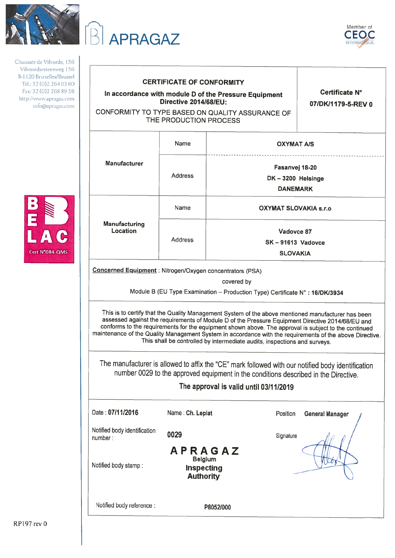

Chaussée de Vilvorde, 156 Vilvoordsesteenw B-1120 Bruxelles Tel.: 32 (0) 2 26 Fax: 32 (0) 2 268 http://www.aprag info@aprag







| <b>CERTIFICATE OF CONFORMITY</b><br>In accordance with module D of the Pressure Equipment<br><b>Directive 2014/68/EU:</b> |                                                                                                                                                                                                                                                                                                                                                                                                                                                                                                         | Certificate N°<br>07/DK/1179-5-REV 0                     |                        |
|---------------------------------------------------------------------------------------------------------------------------|---------------------------------------------------------------------------------------------------------------------------------------------------------------------------------------------------------------------------------------------------------------------------------------------------------------------------------------------------------------------------------------------------------------------------------------------------------------------------------------------------------|----------------------------------------------------------|------------------------|
|                                                                                                                           | CONFORMITY TO TYPE BASED ON QUALITY ASSURANCE OF<br>THE PRODUCTION PROCESS                                                                                                                                                                                                                                                                                                                                                                                                                              |                                                          |                        |
|                                                                                                                           | Name                                                                                                                                                                                                                                                                                                                                                                                                                                                                                                    | <b>OXYMAT A/S</b>                                        |                        |
| <b>Manufacturer</b>                                                                                                       | <b>Address</b>                                                                                                                                                                                                                                                                                                                                                                                                                                                                                          | Fasanvej 18-20<br>DK-3200 Helsinge<br><b>DANEMARK</b>    |                        |
|                                                                                                                           | Name                                                                                                                                                                                                                                                                                                                                                                                                                                                                                                    | OXYMAT SLOVAKIA s.r.o                                    |                        |
| Manufacturing<br>Location                                                                                                 | <b>Address</b>                                                                                                                                                                                                                                                                                                                                                                                                                                                                                          | Vadovce 87<br><b>SK-91613 Vadovce</b><br><b>SLOVAKIA</b> |                        |
|                                                                                                                           | covered by<br>Module B (EU Type Examination - Production Type) Certificate N° : 16/DK/3934                                                                                                                                                                                                                                                                                                                                                                                                              |                                                          |                        |
|                                                                                                                           | This is to certify that the Quality Management System of the above mentioned manufacturer has been<br>assessed against the requirements of Module D of the Pressure Equipment Directive 2014/68/EU and<br>conforms to the requirements for the equipment shown above. The approval is subject to the continued<br>maintenance of the Quality Management System in accordance with the requirements of the above Directive.<br>This shall be controlled by intermediate audits, inspections and surveys. |                                                          |                        |
|                                                                                                                           | The manufacturer is allowed to affix the "CE" mark followed with our notified body identification<br>number 0029 to the approved equipment in the conditions described in the Directive.<br>The approval is valid until 03/11/2019                                                                                                                                                                                                                                                                      |                                                          |                        |
| Date: 07/11/2016                                                                                                          | Name: Ch. Leplat                                                                                                                                                                                                                                                                                                                                                                                                                                                                                        | Position                                                 | <b>General Manager</b> |
| Notified body identification<br>number:                                                                                   | 0029                                                                                                                                                                                                                                                                                                                                                                                                                                                                                                    | Signature                                                |                        |
| Notified body stamp:                                                                                                      | APRAGAZ<br><b>Belgium</b><br><b>Inspecting</b><br><b>Authority</b>                                                                                                                                                                                                                                                                                                                                                                                                                                      |                                                          |                        |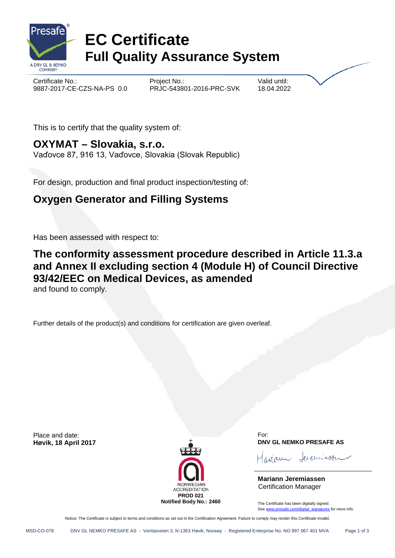

# **EC Certificate Full Quality Assurance System**

Certificate No.: Certificate No.: Project No.: 2017-CE-CZS-NA-PS 0.0 Project No.: 2016-PRC-SVK 18.04.202 9887-2017-CE-CZS-NA-PS 0.0 PRJC-543801-2016-PRC-SVK 18.04.2022

This is to certify that the quality system of:

# **OXYMAT – Slovakia, s.r.o.**

Vaďovce 87, 916 13, Vaďovce, Slovakia (Slovak Republic)

For design, production and final product inspection/testing of:

# **Oxygen Generator and Filling Systems**

Has been assessed with respect to:

# **The conformity assessment procedure described in Article 11.3.a and Annex II excluding section 4 (Module H) of Council Directive 93/42/EEC on Medical Devices, as amended**

and found to comply.

Further details of the product(s) and conditions for certification are given overleaf.

Place and date:



For: **Høvik, 18 April 2017 DNV GL NEMKO PRESAFE AS**

evenuastro

**Mariann Jeremiassen** Certification Manager

The Certificate has been digitally signed. Se[e www.presafe.com/digital\\_signatures](http://www.presafe.com/digital_signatures) for more info

Notice: The Certificate is subject to terms and conditions as set out in the Certification Agreement. Failure to comply may render this Certificate invalid.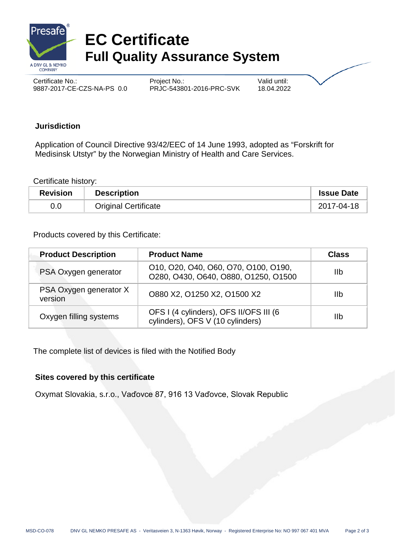

# **EC Certificate Full Quality Assurance System**

Certificate No.: Certificate No.: 2017-CE-CZS-NA-PS 0.0 Project No.: 2016-PRC-SVK 18.04.2022 9887-2017-CE-CZS-NA-PS 0.0

#### **Jurisdiction**

Application of Council Directive 93/42/EEC of 14 June 1993, adopted as "Forskrift for Medisinsk Utstyr" by the Norwegian Ministry of Health and Care Services.

Certificate history:

| <b>Revision</b> | <b>Description</b>          | <b>Issue Date</b> |
|-----------------|-----------------------------|-------------------|
| 0.0             | <b>Original Certificate</b> | 2017-04-18        |

Products covered by this Certificate:

| <b>Product Description</b>        | <b>Product Name</b>                                                          | <b>Class</b> |
|-----------------------------------|------------------------------------------------------------------------------|--------------|
| PSA Oxygen generator              | 010, 020, 040, 060, 070, 0100, 0190,<br>O280, O430, O640, O880, O1250, O1500 | 11b          |
| PSA Oxygen generator X<br>version | O880 X2, O1250 X2, O1500 X2                                                  | <b>IIb</b>   |
| Oxygen filling systems            | OFS I (4 cylinders), OFS II/OFS III (6<br>cylinders), OFS V (10 cylinders)   | 11b          |

The complete list of devices is filed with the Notified Body

### **Sites covered by this certificate**

Oxymat Slovakia, s.r.o., Vaďovce 87, 916 13 Vaďovce, Slovak Republic